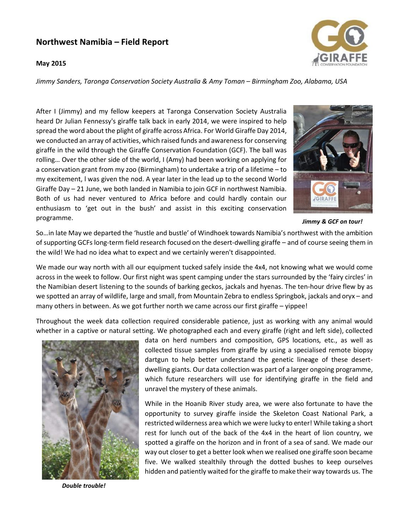## Northwest Namibia – Field Report

## May 2015



Jimmy Sanders, Taronga Conservation Society Australia & Amy Toman – Birmingham Zoo, Alabama, USA

After I (Jimmy) and my fellow keepers at Taronga Conservation Society Australia heard Dr Julian Fennessy's giraffe talk back in early 2014, we were inspired to help spread the word about the plight of giraffe across Africa. For World Giraffe Day 2014, we conducted an array of activities, which raised funds and awareness for conserving giraffe in the wild through the Giraffe Conservation Foundation (GCF). The ball was rolling… Over the other side of the world, I (Amy) had been working on applying for a conservation grant from my zoo (Birmingham) to undertake a trip of a lifetime – to my excitement, l was given the nod. A year later in the lead up to the second World Giraffe Day – 21 June, we both landed in Namibia to join GCF in northwest Namibia. Both of us had never ventured to Africa before and could hardly contain our enthusiasm to 'get out in the bush' and assist in this exciting conservation programme.



Jimmy & GCF on tour!

So…in late May we departed the 'hustle and bustle' of Windhoek towards Namibia's northwest with the ambition of supporting GCFs long-term field research focused on the desert-dwelling giraffe – and of course seeing them in the wild! We had no idea what to expect and we certainly weren't disappointed.

We made our way north with all our equipment tucked safely inside the 4x4, not knowing what we would come across in the week to follow. Our first night was spent camping under the stars surrounded by the 'fairy circles' in the Namibian desert listening to the sounds of barking geckos, jackals and hyenas. The ten-hour drive flew by as we spotted an array of wildlife, large and small, from Mountain Zebra to endless Springbok, jackals and oryx – and many others in between. As we got further north we came across our first giraffe – yippee!

Throughout the week data collection required considerable patience, just as working with any animal would whether in a captive or natural setting. We photographed each and every giraffe (right and left side), collected



Double trouble!

data on herd numbers and composition, GPS locations, etc., as well as collected tissue samples from giraffe by using a specialised remote biopsy dartgun to help better understand the genetic lineage of these desertdwelling giants. Our data collection was part of a larger ongoing programme, which future researchers will use for identifying giraffe in the field and unravel the mystery of these animals.

While in the Hoanib River study area, we were also fortunate to have the opportunity to survey giraffe inside the Skeleton Coast National Park, a restricted wilderness area which we were lucky to enter! While taking a short rest for lunch out of the back of the 4x4 in the heart of lion country, we spotted a giraffe on the horizon and in front of a sea of sand. We made our way out closer to get a better look when we realised one giraffe soon became five. We walked stealthily through the dotted bushes to keep ourselves hidden and patiently waited for the giraffe to make their way towards us. The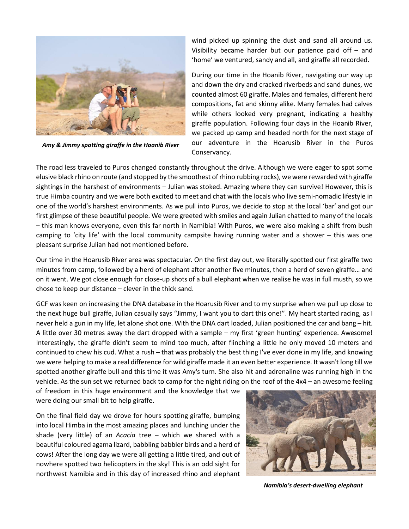

Amy & Jimmy spotting giraffe in the Hoanib River

wind picked up spinning the dust and sand all around us. Visibility became harder but our patience paid off – and 'home' we ventured, sandy and all, and giraffe all recorded.

During our time in the Hoanib River, navigating our way up and down the dry and cracked riverbeds and sand dunes, we counted almost 60 giraffe. Males and females, different herd compositions, fat and skinny alike. Many females had calves while others looked very pregnant, indicating a healthy giraffe population. Following four days in the Hoanib River, we packed up camp and headed north for the next stage of our adventure in the Hoarusib River in the Puros Conservancy.

The road less traveled to Puros changed constantly throughout the drive. Although we were eager to spot some elusive black rhino on route (and stopped by the smoothest of rhino rubbing rocks), we were rewarded with giraffe sightings in the harshest of environments – Julian was stoked. Amazing where they can survive! However, this is true Himba country and we were both excited to meet and chat with the locals who live semi-nomadic lifestyle in one of the world's harshest environments. As we pull into Puros, we decide to stop at the local 'bar' and got our first glimpse of these beautiful people. We were greeted with smiles and again Julian chatted to many of the locals – this man knows everyone, even this far north in Namibia! With Puros, we were also making a shift from bush camping to 'city life' with the local community campsite having running water and a shower – this was one pleasant surprise Julian had not mentioned before.

Our time in the Hoarusib River area was spectacular. On the first day out, we literally spotted our first giraffe two minutes from camp, followed by a herd of elephant after another five minutes, then a herd of seven giraffe… and on it went. We got close enough for close-up shots of a bull elephant when we realise he was in full musth, so we chose to keep our distance – clever in the thick sand.

GCF was keen on increasing the DNA database in the Hoarusib River and to my surprise when we pull up close to the next huge bull giraffe, Julian casually says "Jimmy, I want you to dart this one!". My heart started racing, as I never held a gun in my life, let alone shot one. With the DNA dart loaded, Julian positioned the car and bang – hit. A little over 30 metres away the dart dropped with a sample – my first 'green hunting' experience. Awesome! Interestingly, the giraffe didn't seem to mind too much, after flinching a little he only moved 10 meters and continued to chew his cud. What a rush – that was probably the best thing I've ever done in my life, and knowing we were helping to make a real difference for wild giraffe made it an even better experience. It wasn't long till we spotted another giraffe bull and this time it was Amy's turn. She also hit and adrenaline was running high in the vehicle. As the sun set we returned back to camp for the night riding on the roof of the 4x4 – an awesome feeling

of freedom in this huge environment and the knowledge that we were doing our small bit to help giraffe.

On the final field day we drove for hours spotting giraffe, bumping into local Himba in the most amazing places and lunching under the shade (very little) of an Acacia tree  $-$  which we shared with a beautiful coloured agama lizard, babbling babbler birds and a herd of cows! After the long day we were all getting a little tired, and out of nowhere spotted two helicopters in the sky! This is an odd sight for northwest Namibia and in this day of increased rhino and elephant



Namibia's desert-dwelling elephant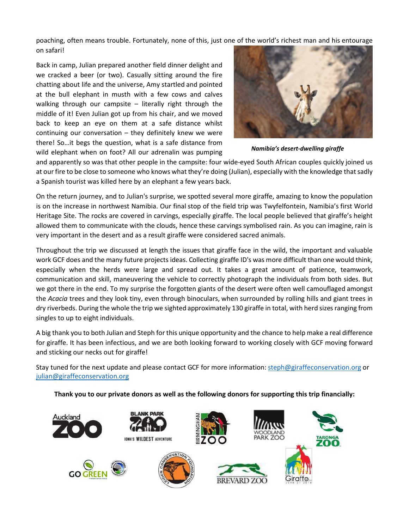poaching, often means trouble. Fortunately, none of this, just one of the world's richest man and his entourage on safari!

Back in camp, Julian prepared another field dinner delight and we cracked a beer (or two). Casually sitting around the fire chatting about life and the universe, Amy startled and pointed at the bull elephant in musth with a few cows and calves walking through our campsite  $-$  literally right through the middle of it! Even Julian got up from his chair, and we moved back to keep an eye on them at a safe distance whilst continuing our conversation – they definitely knew we were there! So…it begs the question, what is a safe distance from wild elephant when on foot? All our adrenalin was pumping



Namibia's desert-dwelling giraffe

and apparently so was that other people in the campsite: four wide-eyed South African couples quickly joined us at our fire to be close to someone who knows what they're doing (Julian), especially with the knowledge that sadly a Spanish tourist was killed here by an elephant a few years back.

On the return journey, and to Julian's surprise, we spotted several more giraffe, amazing to know the population is on the increase in northwest Namibia. Our final stop of the field trip was Twyfelfontein, Namibia's first World Heritage Site. The rocks are covered in carvings, especially giraffe. The local people believed that giraffe's height allowed them to communicate with the clouds, hence these carvings symbolised rain. As you can imagine, rain is very important in the desert and as a result giraffe were considered sacred animals.

Throughout the trip we discussed at length the issues that giraffe face in the wild, the important and valuable work GCF does and the many future projects ideas. Collecting giraffe ID's was more difficult than one would think, especially when the herds were large and spread out. It takes a great amount of patience, teamwork, communication and skill, maneuvering the vehicle to correctly photograph the individuals from both sides. But we got there in the end. To my surprise the forgotten giants of the desert were often well camouflaged amongst the Acacia trees and they look tiny, even through binoculars, when surrounded by rolling hills and giant trees in dry riverbeds. During the whole the trip we sighted approximately 130 giraffe in total, with herd sizes ranging from singles to up to eight individuals.

A big thank you to both Julian and Steph for this unique opportunity and the chance to help make a real difference for giraffe. It has been infectious, and we are both looking forward to working closely with GCF moving forward and sticking our necks out for giraffe!

Stay tuned for the next update and please contact GCF for more information: steph@giraffeconservation.org or julian@giraffeconservation.org

Thank you to our private donors as well as the following donors for supporting this trip financially: